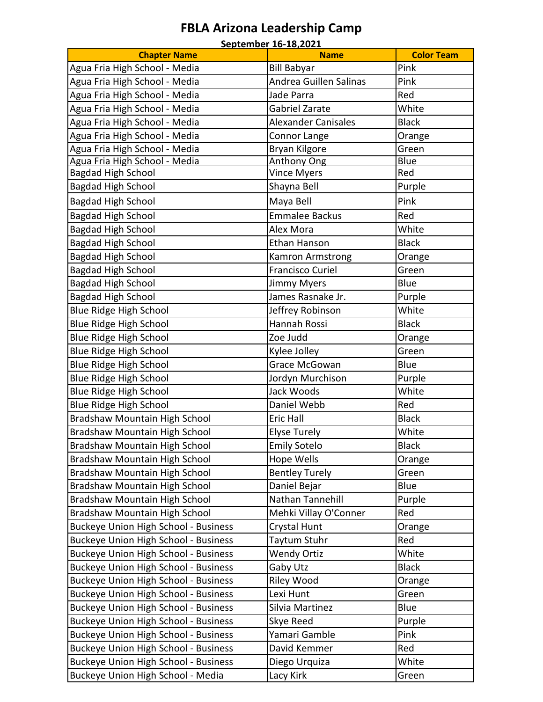#### **FBLA Arizona Leadership Camp** .<br>2001 02: 1*6-18,* 19

| <b>Chapter Name</b>                         | <u>September 16-18,2021</u><br><b>Name</b> | <b>Color Team</b> |
|---------------------------------------------|--------------------------------------------|-------------------|
| Agua Fria High School - Media               | <b>Bill Babyar</b>                         | Pink              |
| Agua Fria High School - Media               | Andrea Guillen Salinas                     | Pink              |
| Agua Fria High School - Media               | Jade Parra                                 | Red               |
| Agua Fria High School - Media               | Gabriel Zarate                             | White             |
| Agua Fria High School - Media               | <b>Alexander Canisales</b>                 | <b>Black</b>      |
| Agua Fria High School - Media               | Connor Lange                               | Orange            |
| Agua Fria High School - Media               | Bryan Kilgore                              | Green             |
| Agua Fria High School - Media               | <b>Anthony Ong</b>                         | <b>Blue</b>       |
| <b>Bagdad High School</b>                   | <b>Vince Myers</b>                         | Red               |
| <b>Bagdad High School</b>                   | Shayna Bell                                | Purple            |
| <b>Bagdad High School</b>                   | Maya Bell                                  | Pink              |
| <b>Bagdad High School</b>                   | <b>Emmalee Backus</b>                      | Red               |
| <b>Bagdad High School</b>                   | Alex Mora                                  | White             |
| <b>Bagdad High School</b>                   | <b>Ethan Hanson</b>                        | <b>Black</b>      |
| <b>Bagdad High School</b>                   | Kamron Armstrong                           | Orange            |
| <b>Bagdad High School</b>                   | Francisco Curiel                           | Green             |
| <b>Bagdad High School</b>                   | <b>Jimmy Myers</b>                         | Blue              |
| <b>Bagdad High School</b>                   | James Rasnake Jr.                          | Purple            |
| <b>Blue Ridge High School</b>               | Jeffrey Robinson                           | White             |
| <b>Blue Ridge High School</b>               | Hannah Rossi                               | <b>Black</b>      |
| <b>Blue Ridge High School</b>               | Zoe Judd                                   | Orange            |
| <b>Blue Ridge High School</b>               | Kylee Jolley                               | Green             |
| Blue Ridge High School                      | Grace McGowan                              | Blue              |
| <b>Blue Ridge High School</b>               | Jordyn Murchison                           | Purple            |
| <b>Blue Ridge High School</b>               | Jack Woods                                 | White             |
| <b>Blue Ridge High School</b>               | Daniel Webb                                | Red               |
| Bradshaw Mountain High School               | <b>Eric Hall</b>                           | <b>Black</b>      |
| Bradshaw Mountain High School               | <b>Elyse Turely</b>                        | White             |
| <b>Bradshaw Mountain High School</b>        | <b>Emily Sotelo</b>                        | <b>Black</b>      |
| <b>Bradshaw Mountain High School</b>        | Hope Wells                                 | Orange            |
| Bradshaw Mountain High School               | <b>Bentley Turely</b>                      | Green             |
| Bradshaw Mountain High School               | Daniel Bejar                               | Blue              |
| Bradshaw Mountain High School               | Nathan Tannehill                           | Purple            |
| Bradshaw Mountain High School               | Mehki Villay O'Conner                      | Red               |
| <b>Buckeye Union High School - Business</b> | <b>Crystal Hunt</b>                        | Orange            |
| <b>Buckeye Union High School - Business</b> | Taytum Stuhr                               | Red               |
| <b>Buckeye Union High School - Business</b> | <b>Wendy Ortiz</b>                         | White             |
| <b>Buckeye Union High School - Business</b> | Gaby Utz                                   | <b>Black</b>      |
| <b>Buckeye Union High School - Business</b> | Riley Wood                                 | Orange            |
| <b>Buckeye Union High School - Business</b> | Lexi Hunt                                  | Green             |
| <b>Buckeye Union High School - Business</b> | Silvia Martinez                            | Blue              |
| <b>Buckeye Union High School - Business</b> | Skye Reed                                  | Purple            |
| <b>Buckeye Union High School - Business</b> | Yamari Gamble                              | Pink              |
| <b>Buckeye Union High School - Business</b> | David Kemmer                               | Red               |
| <b>Buckeye Union High School - Business</b> | Diego Urquiza                              | White             |
| Buckeye Union High School - Media           | Lacy Kirk                                  | Green             |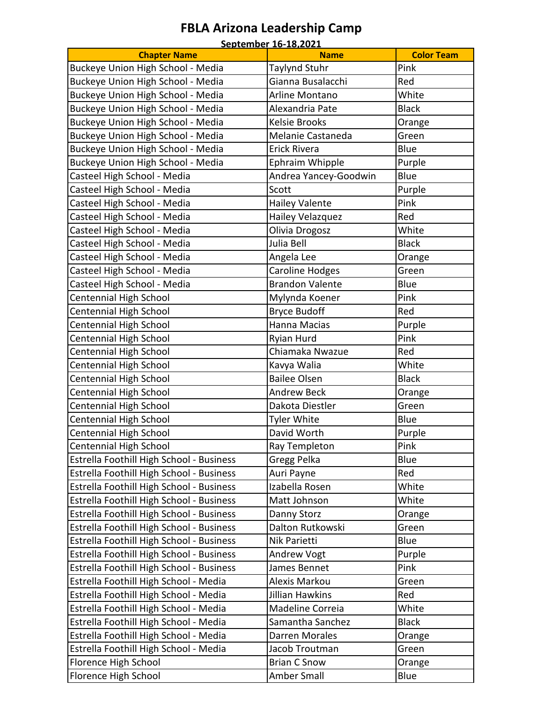### **FBLA Arizona Leadership Camp**

|                                          | September 16-18,2021             |                   |
|------------------------------------------|----------------------------------|-------------------|
| <b>Chapter Name</b>                      | <b>Name</b>                      | <b>Color Team</b> |
| <b>Buckeye Union High School - Media</b> | Taylynd Stuhr                    | Pink              |
| Buckeye Union High School - Media        | Gianna Busalacchi                | Red               |
| Buckeye Union High School - Media        | Arline Montano                   | White             |
| Buckeye Union High School - Media        | Alexandria Pate                  | <b>Black</b>      |
| Buckeye Union High School - Media        | <b>Kelsie Brooks</b>             | Orange            |
| Buckeye Union High School - Media        | Melanie Castaneda                | Green             |
| Buckeye Union High School - Media        | <b>Erick Rivera</b>              | Blue              |
| Buckeye Union High School - Media        | Ephraim Whipple                  | Purple            |
| Casteel High School - Media              | Andrea Yancey-Goodwin            | Blue              |
| Casteel High School - Media              | Scott                            | Purple            |
| Casteel High School - Media              | <b>Hailey Valente</b>            | Pink              |
| Casteel High School - Media              | Hailey Velazquez                 | Red               |
| Casteel High School - Media              | Olivia Drogosz                   | White             |
| Casteel High School - Media              | Julia Bell                       | <b>Black</b>      |
|                                          |                                  |                   |
| Casteel High School - Media              | Angela Lee                       | Orange            |
| Casteel High School - Media              | Caroline Hodges                  | Green             |
| Casteel High School - Media              | <b>Brandon Valente</b>           | Blue              |
| Centennial High School                   | Mylynda Koener                   | Pink              |
| Centennial High School                   | <b>Bryce Budoff</b>              | Red               |
| Centennial High School                   | Hanna Macias                     | Purple            |
| Centennial High School                   | Ryian Hurd                       | Pink              |
| Centennial High School                   | Chiamaka Nwazue                  | Red               |
| <b>Centennial High School</b>            | Kavya Walia                      | White             |
| Centennial High School                   | <b>Bailee Olsen</b>              | <b>Black</b>      |
| Centennial High School                   | <b>Andrew Beck</b>               | Orange            |
| Centennial High School                   | Dakota Diestler                  | Green             |
| Centennial High School                   | <b>Tyler White</b>               | Blue              |
| <b>Centennial High School</b>            | David Worth                      | Purple            |
| <b>Centennial High School</b>            | Ray Templeton                    | Pink              |
| Estrella Foothill High School - Business | Gregg Pelka                      | Blue              |
| Estrella Foothill High School - Business | Auri Payne                       | Red               |
| Estrella Foothill High School - Business | Izabella Rosen                   | White             |
| Estrella Foothill High School - Business | Matt Johnson                     | White             |
| Estrella Foothill High School - Business | Danny Storz                      | Orange            |
| Estrella Foothill High School - Business | Dalton Rutkowski                 | Green             |
| Estrella Foothill High School - Business | Nik Parietti                     | Blue              |
| Estrella Foothill High School - Business | <b>Andrew Vogt</b>               | Purple            |
| Estrella Foothill High School - Business | James Bennet                     | Pink              |
|                                          |                                  | Green             |
| Estrella Foothill High School - Media    | Alexis Markou<br>Jillian Hawkins |                   |
| Estrella Foothill High School - Media    |                                  | Red               |
| Estrella Foothill High School - Media    | Madeline Correia                 | White             |
| Estrella Foothill High School - Media    | Samantha Sanchez                 | <b>Black</b>      |
| Estrella Foothill High School - Media    | <b>Darren Morales</b>            | Orange            |
| Estrella Foothill High School - Media    | Jacob Troutman                   | Green             |
| Florence High School                     | <b>Brian C Snow</b>              | Orange            |
| Florence High School                     | Amber Small                      | Blue              |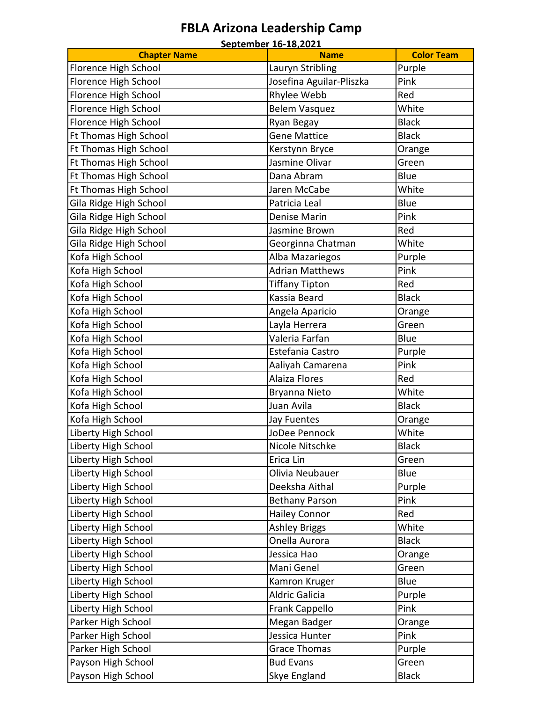#### **FBLA Arizona Leadership Camp September 16-18,2021**

|                        | <u>September 16-18,2021</u> |                   |
|------------------------|-----------------------------|-------------------|
| <b>Chapter Name</b>    | <b>Name</b>                 | <b>Color Team</b> |
| Florence High School   | Lauryn Stribling            | Purple            |
| Florence High School   | Josefina Aguilar-Pliszka    | Pink              |
| Florence High School   | Rhylee Webb                 | Red               |
| Florence High School   | <b>Belem Vasquez</b>        | White             |
| Florence High School   | Ryan Begay                  | <b>Black</b>      |
| Ft Thomas High School  | <b>Gene Mattice</b>         | <b>Black</b>      |
| Ft Thomas High School  | Kerstynn Bryce              | Orange            |
| Ft Thomas High School  | Jasmine Olivar              | Green             |
| Ft Thomas High School  | Dana Abram                  | Blue              |
| Ft Thomas High School  | Jaren McCabe                | White             |
| Gila Ridge High School | Patricia Leal               | Blue              |
| Gila Ridge High School | <b>Denise Marin</b>         | Pink              |
| Gila Ridge High School | Jasmine Brown               | Red               |
| Gila Ridge High School | Georginna Chatman           | White             |
| Kofa High School       | Alba Mazariegos             | Purple            |
| Kofa High School       | <b>Adrian Matthews</b>      | Pink              |
| Kofa High School       | <b>Tiffany Tipton</b>       | Red               |
| Kofa High School       | Kassia Beard                | <b>Black</b>      |
| Kofa High School       | Angela Aparicio             | Orange            |
| Kofa High School       | Layla Herrera               | Green             |
| Kofa High School       | Valeria Farfan              | Blue              |
| Kofa High School       | Estefania Castro            | Purple            |
| Kofa High School       | Aaliyah Camarena            | Pink              |
| Kofa High School       | <b>Alaiza Flores</b>        | Red               |
| Kofa High School       | Bryanna Nieto               | White             |
| Kofa High School       | Juan Avila                  | <b>Black</b>      |
| Kofa High School       | Jay Fuentes                 | Orange            |
| Liberty High School    | JoDee Pennock               | White             |
| Liberty High School    | Nicole Nitschke             | <b>Black</b>      |
| Liberty High School    | Erica Lin                   | Green             |
| Liberty High School    | Olivia Neubauer             | Blue              |
| Liberty High School    | Deeksha Aithal              | Purple            |
| Liberty High School    | <b>Bethany Parson</b>       | Pink              |
| Liberty High School    | <b>Hailey Connor</b>        | Red               |
| Liberty High School    | <b>Ashley Briggs</b>        | White             |
| Liberty High School    | Onella Aurora               | <b>Black</b>      |
| Liberty High School    | Jessica Hao                 |                   |
|                        | Mani Genel                  | Orange<br>Green   |
| Liberty High School    |                             |                   |
| Liberty High School    | Kamron Kruger               | Blue              |
| Liberty High School    | <b>Aldric Galicia</b>       | Purple            |
| Liberty High School    | Frank Cappello              | Pink              |
| Parker High School     | Megan Badger                | Orange            |
| Parker High School     | Jessica Hunter              | Pink              |
| Parker High School     | <b>Grace Thomas</b>         | Purple            |
| Payson High School     | <b>Bud Evans</b>            | Green             |
| Payson High School     | Skye England                | <b>Black</b>      |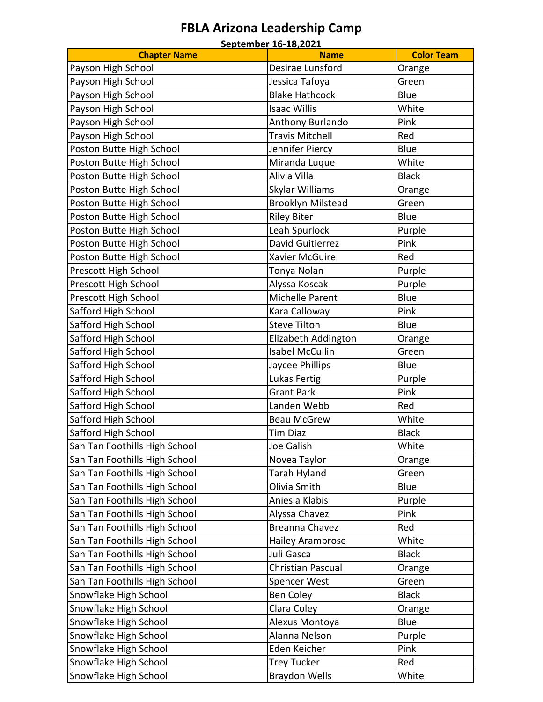#### **FBLA Arizona Leadership Camp September 16-18,2021**

|                               | <u>September 16-18,2021</u>     |                   |
|-------------------------------|---------------------------------|-------------------|
| <b>Chapter Name</b>           | <b>Name</b><br>Desirae Lunsford | <b>Color Team</b> |
| Payson High School            |                                 | Orange            |
| Payson High School            | Jessica Tafoya                  | Green             |
| Payson High School            | <b>Blake Hathcock</b>           | Blue              |
| Payson High School            | <b>Isaac Willis</b>             | White             |
| Payson High School            | Anthony Burlando                | Pink              |
| Payson High School            | <b>Travis Mitchell</b>          | Red               |
| Poston Butte High School      | Jennifer Piercy                 | Blue              |
| Poston Butte High School      | Miranda Luque                   | White             |
| Poston Butte High School      | Alivia Villa                    | <b>Black</b>      |
| Poston Butte High School      | Skylar Williams                 | Orange            |
| Poston Butte High School      | <b>Brooklyn Milstead</b>        | Green             |
| Poston Butte High School      | <b>Riley Biter</b>              | Blue              |
| Poston Butte High School      | Leah Spurlock                   | Purple            |
| Poston Butte High School      | David Guitierrez                | Pink              |
| Poston Butte High School      | <b>Xavier McGuire</b>           | Red               |
| Prescott High School          | Tonya Nolan                     | Purple            |
| Prescott High School          | Alyssa Koscak                   | Purple            |
| Prescott High School          | Michelle Parent                 | Blue              |
| Safford High School           | Kara Calloway                   | Pink              |
| Safford High School           | <b>Steve Tilton</b>             | Blue              |
| Safford High School           | Elizabeth Addington             | Orange            |
| Safford High School           | <b>Isabel McCullin</b>          | Green             |
| Safford High School           | Jaycee Phillips                 | Blue              |
| Safford High School           | Lukas Fertig                    | Purple            |
| Safford High School           | <b>Grant Park</b>               | Pink              |
| Safford High School           | Landen Webb                     | Red               |
| Safford High School           | <b>Beau McGrew</b>              | White             |
| Safford High School           | <b>Tim Diaz</b>                 | <b>Black</b>      |
| San Tan Foothills High School | Joe Galish                      | White             |
| San Tan Foothills High School | Novea Taylor                    | Orange            |
| San Tan Foothills High School | Tarah Hyland                    | Green             |
| San Tan Foothills High School | Olivia Smith                    | Blue              |
| San Tan Foothills High School | Aniesia Klabis                  | Purple            |
| San Tan Foothills High School | Alyssa Chavez                   | Pink              |
| San Tan Foothills High School | Breanna Chavez                  | Red               |
| San Tan Foothills High School | <b>Hailey Arambrose</b>         | White             |
| San Tan Foothills High School | Juli Gasca                      | <b>Black</b>      |
| San Tan Foothills High School | <b>Christian Pascual</b>        | Orange            |
|                               |                                 |                   |
| San Tan Foothills High School | <b>Spencer West</b>             | Green             |
| Snowflake High School         | <b>Ben Coley</b>                | <b>Black</b>      |
| Snowflake High School         | Clara Coley                     | Orange            |
| Snowflake High School         | Alexus Montoya                  | Blue              |
| Snowflake High School         | Alanna Nelson                   | Purple            |
| Snowflake High School         | Eden Keicher                    | Pink              |
| Snowflake High School         | <b>Trey Tucker</b>              | Red               |
| Snowflake High School         | <b>Braydon Wells</b>            | White             |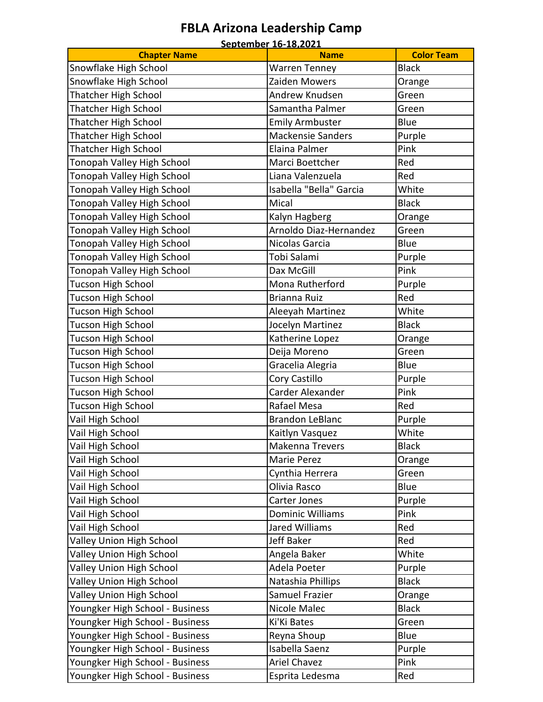## **FBLA Arizona Leadership Camp**

| Snowflake High School<br><b>Black</b><br><b>Warren Tenney</b><br>Snowflake High School<br>Zaiden Mowers<br>Orange<br>Thatcher High School<br>Andrew Knudsen<br>Green<br>Samantha Palmer<br><b>Thatcher High School</b><br>Green<br><b>Thatcher High School</b><br><b>Emily Armbuster</b><br>Blue<br><b>Thatcher High School</b><br><b>Mackensie Sanders</b><br>Purple<br>Thatcher High School<br>Elaina Palmer<br>Pink<br>Tonopah Valley High School<br>Red<br>Marci Boettcher<br>Tonopah Valley High School<br>Liana Valenzuela<br>Red<br>Tonopah Valley High School<br>Isabella "Bella" Garcia<br>White<br>Tonopah Valley High School<br><b>Black</b><br>Mical<br>Tonopah Valley High School<br>Kalyn Hagberg<br>Orange<br>Arnoldo Diaz-Hernandez<br>Tonopah Valley High School<br>Green<br>Tonopah Valley High School<br>Nicolas Garcia<br>Blue<br>Tobi Salami<br>Tonopah Valley High School<br>Purple<br>Tonopah Valley High School<br>Dax McGill<br>Pink<br>Tucson High School<br>Mona Rutherford<br>Purple<br>Tucson High School<br>Brianna Ruiz<br>Red<br>Tucson High School<br>Aleeyah Martinez<br>White<br>Tucson High School<br>Jocelyn Martinez<br><b>Black</b><br>Tucson High School<br>Katherine Lopez<br>Orange<br>Tucson High School<br>Deija Moreno<br>Green<br>Blue<br>Tucson High School<br>Gracelia Alegria<br>Tucson High School<br>Cory Castillo<br>Purple<br>Carder Alexander<br>Pink<br>Tucson High School<br>Rafael Mesa<br>Tucson High School<br>Red<br>Vail High School<br><b>Brandon LeBlanc</b><br>Purple<br>Vail High School<br>White<br>Kaitlyn Vasquez<br>Vail High School<br>Makenna Trevers<br><b>Black</b><br>Vail High School<br>Marie Perez<br>Orange<br>Vail High School<br>Cynthia Herrera<br>Green<br>Vail High School<br>Olivia Rasco<br>Blue<br>Vail High School<br>Carter Jones<br>Purple<br>Vail High School<br>Pink<br>Dominic Williams<br>Vail High School<br><b>Jared Williams</b><br>Red<br><b>Valley Union High School</b><br>Jeff Baker<br>Red<br>Valley Union High School<br>Angela Baker<br>White<br>Valley Union High School<br>Adela Poeter<br>Purple<br>Valley Union High School<br><b>Black</b><br>Natashia Phillips<br>Valley Union High School<br>Samuel Frazier<br>Orange<br>Youngker High School - Business<br>Nicole Malec<br><b>Black</b><br>Youngker High School - Business<br>Ki'Ki Bates<br>Green<br>Youngker High School - Business<br>Blue<br>Reyna Shoup<br>Isabella Saenz<br>Youngker High School - Business<br>Purple |                                 | September 16-18,2021 |                   |
|--------------------------------------------------------------------------------------------------------------------------------------------------------------------------------------------------------------------------------------------------------------------------------------------------------------------------------------------------------------------------------------------------------------------------------------------------------------------------------------------------------------------------------------------------------------------------------------------------------------------------------------------------------------------------------------------------------------------------------------------------------------------------------------------------------------------------------------------------------------------------------------------------------------------------------------------------------------------------------------------------------------------------------------------------------------------------------------------------------------------------------------------------------------------------------------------------------------------------------------------------------------------------------------------------------------------------------------------------------------------------------------------------------------------------------------------------------------------------------------------------------------------------------------------------------------------------------------------------------------------------------------------------------------------------------------------------------------------------------------------------------------------------------------------------------------------------------------------------------------------------------------------------------------------------------------------------------------------------------------------------------------------------------------------------------------------------------------------------------------------------------------------------------------------------------------------------------------------------------------------------------------------------------------------------------------------------------------------------------------------------------------------------------------------------------------------------------------------------------------------|---------------------------------|----------------------|-------------------|
|                                                                                                                                                                                                                                                                                                                                                                                                                                                                                                                                                                                                                                                                                                                                                                                                                                                                                                                                                                                                                                                                                                                                                                                                                                                                                                                                                                                                                                                                                                                                                                                                                                                                                                                                                                                                                                                                                                                                                                                                                                                                                                                                                                                                                                                                                                                                                                                                                                                                                            | <b>Chapter Name</b>             | <b>Name</b>          | <b>Color Team</b> |
|                                                                                                                                                                                                                                                                                                                                                                                                                                                                                                                                                                                                                                                                                                                                                                                                                                                                                                                                                                                                                                                                                                                                                                                                                                                                                                                                                                                                                                                                                                                                                                                                                                                                                                                                                                                                                                                                                                                                                                                                                                                                                                                                                                                                                                                                                                                                                                                                                                                                                            |                                 |                      |                   |
|                                                                                                                                                                                                                                                                                                                                                                                                                                                                                                                                                                                                                                                                                                                                                                                                                                                                                                                                                                                                                                                                                                                                                                                                                                                                                                                                                                                                                                                                                                                                                                                                                                                                                                                                                                                                                                                                                                                                                                                                                                                                                                                                                                                                                                                                                                                                                                                                                                                                                            |                                 |                      |                   |
|                                                                                                                                                                                                                                                                                                                                                                                                                                                                                                                                                                                                                                                                                                                                                                                                                                                                                                                                                                                                                                                                                                                                                                                                                                                                                                                                                                                                                                                                                                                                                                                                                                                                                                                                                                                                                                                                                                                                                                                                                                                                                                                                                                                                                                                                                                                                                                                                                                                                                            |                                 |                      |                   |
|                                                                                                                                                                                                                                                                                                                                                                                                                                                                                                                                                                                                                                                                                                                                                                                                                                                                                                                                                                                                                                                                                                                                                                                                                                                                                                                                                                                                                                                                                                                                                                                                                                                                                                                                                                                                                                                                                                                                                                                                                                                                                                                                                                                                                                                                                                                                                                                                                                                                                            |                                 |                      |                   |
|                                                                                                                                                                                                                                                                                                                                                                                                                                                                                                                                                                                                                                                                                                                                                                                                                                                                                                                                                                                                                                                                                                                                                                                                                                                                                                                                                                                                                                                                                                                                                                                                                                                                                                                                                                                                                                                                                                                                                                                                                                                                                                                                                                                                                                                                                                                                                                                                                                                                                            |                                 |                      |                   |
|                                                                                                                                                                                                                                                                                                                                                                                                                                                                                                                                                                                                                                                                                                                                                                                                                                                                                                                                                                                                                                                                                                                                                                                                                                                                                                                                                                                                                                                                                                                                                                                                                                                                                                                                                                                                                                                                                                                                                                                                                                                                                                                                                                                                                                                                                                                                                                                                                                                                                            |                                 |                      |                   |
|                                                                                                                                                                                                                                                                                                                                                                                                                                                                                                                                                                                                                                                                                                                                                                                                                                                                                                                                                                                                                                                                                                                                                                                                                                                                                                                                                                                                                                                                                                                                                                                                                                                                                                                                                                                                                                                                                                                                                                                                                                                                                                                                                                                                                                                                                                                                                                                                                                                                                            |                                 |                      |                   |
|                                                                                                                                                                                                                                                                                                                                                                                                                                                                                                                                                                                                                                                                                                                                                                                                                                                                                                                                                                                                                                                                                                                                                                                                                                                                                                                                                                                                                                                                                                                                                                                                                                                                                                                                                                                                                                                                                                                                                                                                                                                                                                                                                                                                                                                                                                                                                                                                                                                                                            |                                 |                      |                   |
|                                                                                                                                                                                                                                                                                                                                                                                                                                                                                                                                                                                                                                                                                                                                                                                                                                                                                                                                                                                                                                                                                                                                                                                                                                                                                                                                                                                                                                                                                                                                                                                                                                                                                                                                                                                                                                                                                                                                                                                                                                                                                                                                                                                                                                                                                                                                                                                                                                                                                            |                                 |                      |                   |
|                                                                                                                                                                                                                                                                                                                                                                                                                                                                                                                                                                                                                                                                                                                                                                                                                                                                                                                                                                                                                                                                                                                                                                                                                                                                                                                                                                                                                                                                                                                                                                                                                                                                                                                                                                                                                                                                                                                                                                                                                                                                                                                                                                                                                                                                                                                                                                                                                                                                                            |                                 |                      |                   |
|                                                                                                                                                                                                                                                                                                                                                                                                                                                                                                                                                                                                                                                                                                                                                                                                                                                                                                                                                                                                                                                                                                                                                                                                                                                                                                                                                                                                                                                                                                                                                                                                                                                                                                                                                                                                                                                                                                                                                                                                                                                                                                                                                                                                                                                                                                                                                                                                                                                                                            |                                 |                      |                   |
|                                                                                                                                                                                                                                                                                                                                                                                                                                                                                                                                                                                                                                                                                                                                                                                                                                                                                                                                                                                                                                                                                                                                                                                                                                                                                                                                                                                                                                                                                                                                                                                                                                                                                                                                                                                                                                                                                                                                                                                                                                                                                                                                                                                                                                                                                                                                                                                                                                                                                            |                                 |                      |                   |
|                                                                                                                                                                                                                                                                                                                                                                                                                                                                                                                                                                                                                                                                                                                                                                                                                                                                                                                                                                                                                                                                                                                                                                                                                                                                                                                                                                                                                                                                                                                                                                                                                                                                                                                                                                                                                                                                                                                                                                                                                                                                                                                                                                                                                                                                                                                                                                                                                                                                                            |                                 |                      |                   |
|                                                                                                                                                                                                                                                                                                                                                                                                                                                                                                                                                                                                                                                                                                                                                                                                                                                                                                                                                                                                                                                                                                                                                                                                                                                                                                                                                                                                                                                                                                                                                                                                                                                                                                                                                                                                                                                                                                                                                                                                                                                                                                                                                                                                                                                                                                                                                                                                                                                                                            |                                 |                      |                   |
|                                                                                                                                                                                                                                                                                                                                                                                                                                                                                                                                                                                                                                                                                                                                                                                                                                                                                                                                                                                                                                                                                                                                                                                                                                                                                                                                                                                                                                                                                                                                                                                                                                                                                                                                                                                                                                                                                                                                                                                                                                                                                                                                                                                                                                                                                                                                                                                                                                                                                            |                                 |                      |                   |
|                                                                                                                                                                                                                                                                                                                                                                                                                                                                                                                                                                                                                                                                                                                                                                                                                                                                                                                                                                                                                                                                                                                                                                                                                                                                                                                                                                                                                                                                                                                                                                                                                                                                                                                                                                                                                                                                                                                                                                                                                                                                                                                                                                                                                                                                                                                                                                                                                                                                                            |                                 |                      |                   |
|                                                                                                                                                                                                                                                                                                                                                                                                                                                                                                                                                                                                                                                                                                                                                                                                                                                                                                                                                                                                                                                                                                                                                                                                                                                                                                                                                                                                                                                                                                                                                                                                                                                                                                                                                                                                                                                                                                                                                                                                                                                                                                                                                                                                                                                                                                                                                                                                                                                                                            |                                 |                      |                   |
|                                                                                                                                                                                                                                                                                                                                                                                                                                                                                                                                                                                                                                                                                                                                                                                                                                                                                                                                                                                                                                                                                                                                                                                                                                                                                                                                                                                                                                                                                                                                                                                                                                                                                                                                                                                                                                                                                                                                                                                                                                                                                                                                                                                                                                                                                                                                                                                                                                                                                            |                                 |                      |                   |
|                                                                                                                                                                                                                                                                                                                                                                                                                                                                                                                                                                                                                                                                                                                                                                                                                                                                                                                                                                                                                                                                                                                                                                                                                                                                                                                                                                                                                                                                                                                                                                                                                                                                                                                                                                                                                                                                                                                                                                                                                                                                                                                                                                                                                                                                                                                                                                                                                                                                                            |                                 |                      |                   |
|                                                                                                                                                                                                                                                                                                                                                                                                                                                                                                                                                                                                                                                                                                                                                                                                                                                                                                                                                                                                                                                                                                                                                                                                                                                                                                                                                                                                                                                                                                                                                                                                                                                                                                                                                                                                                                                                                                                                                                                                                                                                                                                                                                                                                                                                                                                                                                                                                                                                                            |                                 |                      |                   |
|                                                                                                                                                                                                                                                                                                                                                                                                                                                                                                                                                                                                                                                                                                                                                                                                                                                                                                                                                                                                                                                                                                                                                                                                                                                                                                                                                                                                                                                                                                                                                                                                                                                                                                                                                                                                                                                                                                                                                                                                                                                                                                                                                                                                                                                                                                                                                                                                                                                                                            |                                 |                      |                   |
|                                                                                                                                                                                                                                                                                                                                                                                                                                                                                                                                                                                                                                                                                                                                                                                                                                                                                                                                                                                                                                                                                                                                                                                                                                                                                                                                                                                                                                                                                                                                                                                                                                                                                                                                                                                                                                                                                                                                                                                                                                                                                                                                                                                                                                                                                                                                                                                                                                                                                            |                                 |                      |                   |
|                                                                                                                                                                                                                                                                                                                                                                                                                                                                                                                                                                                                                                                                                                                                                                                                                                                                                                                                                                                                                                                                                                                                                                                                                                                                                                                                                                                                                                                                                                                                                                                                                                                                                                                                                                                                                                                                                                                                                                                                                                                                                                                                                                                                                                                                                                                                                                                                                                                                                            |                                 |                      |                   |
|                                                                                                                                                                                                                                                                                                                                                                                                                                                                                                                                                                                                                                                                                                                                                                                                                                                                                                                                                                                                                                                                                                                                                                                                                                                                                                                                                                                                                                                                                                                                                                                                                                                                                                                                                                                                                                                                                                                                                                                                                                                                                                                                                                                                                                                                                                                                                                                                                                                                                            |                                 |                      |                   |
|                                                                                                                                                                                                                                                                                                                                                                                                                                                                                                                                                                                                                                                                                                                                                                                                                                                                                                                                                                                                                                                                                                                                                                                                                                                                                                                                                                                                                                                                                                                                                                                                                                                                                                                                                                                                                                                                                                                                                                                                                                                                                                                                                                                                                                                                                                                                                                                                                                                                                            |                                 |                      |                   |
|                                                                                                                                                                                                                                                                                                                                                                                                                                                                                                                                                                                                                                                                                                                                                                                                                                                                                                                                                                                                                                                                                                                                                                                                                                                                                                                                                                                                                                                                                                                                                                                                                                                                                                                                                                                                                                                                                                                                                                                                                                                                                                                                                                                                                                                                                                                                                                                                                                                                                            |                                 |                      |                   |
|                                                                                                                                                                                                                                                                                                                                                                                                                                                                                                                                                                                                                                                                                                                                                                                                                                                                                                                                                                                                                                                                                                                                                                                                                                                                                                                                                                                                                                                                                                                                                                                                                                                                                                                                                                                                                                                                                                                                                                                                                                                                                                                                                                                                                                                                                                                                                                                                                                                                                            |                                 |                      |                   |
|                                                                                                                                                                                                                                                                                                                                                                                                                                                                                                                                                                                                                                                                                                                                                                                                                                                                                                                                                                                                                                                                                                                                                                                                                                                                                                                                                                                                                                                                                                                                                                                                                                                                                                                                                                                                                                                                                                                                                                                                                                                                                                                                                                                                                                                                                                                                                                                                                                                                                            |                                 |                      |                   |
|                                                                                                                                                                                                                                                                                                                                                                                                                                                                                                                                                                                                                                                                                                                                                                                                                                                                                                                                                                                                                                                                                                                                                                                                                                                                                                                                                                                                                                                                                                                                                                                                                                                                                                                                                                                                                                                                                                                                                                                                                                                                                                                                                                                                                                                                                                                                                                                                                                                                                            |                                 |                      |                   |
|                                                                                                                                                                                                                                                                                                                                                                                                                                                                                                                                                                                                                                                                                                                                                                                                                                                                                                                                                                                                                                                                                                                                                                                                                                                                                                                                                                                                                                                                                                                                                                                                                                                                                                                                                                                                                                                                                                                                                                                                                                                                                                                                                                                                                                                                                                                                                                                                                                                                                            |                                 |                      |                   |
|                                                                                                                                                                                                                                                                                                                                                                                                                                                                                                                                                                                                                                                                                                                                                                                                                                                                                                                                                                                                                                                                                                                                                                                                                                                                                                                                                                                                                                                                                                                                                                                                                                                                                                                                                                                                                                                                                                                                                                                                                                                                                                                                                                                                                                                                                                                                                                                                                                                                                            |                                 |                      |                   |
|                                                                                                                                                                                                                                                                                                                                                                                                                                                                                                                                                                                                                                                                                                                                                                                                                                                                                                                                                                                                                                                                                                                                                                                                                                                                                                                                                                                                                                                                                                                                                                                                                                                                                                                                                                                                                                                                                                                                                                                                                                                                                                                                                                                                                                                                                                                                                                                                                                                                                            |                                 |                      |                   |
|                                                                                                                                                                                                                                                                                                                                                                                                                                                                                                                                                                                                                                                                                                                                                                                                                                                                                                                                                                                                                                                                                                                                                                                                                                                                                                                                                                                                                                                                                                                                                                                                                                                                                                                                                                                                                                                                                                                                                                                                                                                                                                                                                                                                                                                                                                                                                                                                                                                                                            |                                 |                      |                   |
|                                                                                                                                                                                                                                                                                                                                                                                                                                                                                                                                                                                                                                                                                                                                                                                                                                                                                                                                                                                                                                                                                                                                                                                                                                                                                                                                                                                                                                                                                                                                                                                                                                                                                                                                                                                                                                                                                                                                                                                                                                                                                                                                                                                                                                                                                                                                                                                                                                                                                            |                                 |                      |                   |
|                                                                                                                                                                                                                                                                                                                                                                                                                                                                                                                                                                                                                                                                                                                                                                                                                                                                                                                                                                                                                                                                                                                                                                                                                                                                                                                                                                                                                                                                                                                                                                                                                                                                                                                                                                                                                                                                                                                                                                                                                                                                                                                                                                                                                                                                                                                                                                                                                                                                                            |                                 |                      |                   |
|                                                                                                                                                                                                                                                                                                                                                                                                                                                                                                                                                                                                                                                                                                                                                                                                                                                                                                                                                                                                                                                                                                                                                                                                                                                                                                                                                                                                                                                                                                                                                                                                                                                                                                                                                                                                                                                                                                                                                                                                                                                                                                                                                                                                                                                                                                                                                                                                                                                                                            |                                 |                      |                   |
|                                                                                                                                                                                                                                                                                                                                                                                                                                                                                                                                                                                                                                                                                                                                                                                                                                                                                                                                                                                                                                                                                                                                                                                                                                                                                                                                                                                                                                                                                                                                                                                                                                                                                                                                                                                                                                                                                                                                                                                                                                                                                                                                                                                                                                                                                                                                                                                                                                                                                            |                                 |                      |                   |
|                                                                                                                                                                                                                                                                                                                                                                                                                                                                                                                                                                                                                                                                                                                                                                                                                                                                                                                                                                                                                                                                                                                                                                                                                                                                                                                                                                                                                                                                                                                                                                                                                                                                                                                                                                                                                                                                                                                                                                                                                                                                                                                                                                                                                                                                                                                                                                                                                                                                                            |                                 |                      |                   |
|                                                                                                                                                                                                                                                                                                                                                                                                                                                                                                                                                                                                                                                                                                                                                                                                                                                                                                                                                                                                                                                                                                                                                                                                                                                                                                                                                                                                                                                                                                                                                                                                                                                                                                                                                                                                                                                                                                                                                                                                                                                                                                                                                                                                                                                                                                                                                                                                                                                                                            |                                 |                      |                   |
|                                                                                                                                                                                                                                                                                                                                                                                                                                                                                                                                                                                                                                                                                                                                                                                                                                                                                                                                                                                                                                                                                                                                                                                                                                                                                                                                                                                                                                                                                                                                                                                                                                                                                                                                                                                                                                                                                                                                                                                                                                                                                                                                                                                                                                                                                                                                                                                                                                                                                            |                                 |                      |                   |
|                                                                                                                                                                                                                                                                                                                                                                                                                                                                                                                                                                                                                                                                                                                                                                                                                                                                                                                                                                                                                                                                                                                                                                                                                                                                                                                                                                                                                                                                                                                                                                                                                                                                                                                                                                                                                                                                                                                                                                                                                                                                                                                                                                                                                                                                                                                                                                                                                                                                                            |                                 |                      |                   |
|                                                                                                                                                                                                                                                                                                                                                                                                                                                                                                                                                                                                                                                                                                                                                                                                                                                                                                                                                                                                                                                                                                                                                                                                                                                                                                                                                                                                                                                                                                                                                                                                                                                                                                                                                                                                                                                                                                                                                                                                                                                                                                                                                                                                                                                                                                                                                                                                                                                                                            |                                 |                      |                   |
|                                                                                                                                                                                                                                                                                                                                                                                                                                                                                                                                                                                                                                                                                                                                                                                                                                                                                                                                                                                                                                                                                                                                                                                                                                                                                                                                                                                                                                                                                                                                                                                                                                                                                                                                                                                                                                                                                                                                                                                                                                                                                                                                                                                                                                                                                                                                                                                                                                                                                            |                                 |                      |                   |
|                                                                                                                                                                                                                                                                                                                                                                                                                                                                                                                                                                                                                                                                                                                                                                                                                                                                                                                                                                                                                                                                                                                                                                                                                                                                                                                                                                                                                                                                                                                                                                                                                                                                                                                                                                                                                                                                                                                                                                                                                                                                                                                                                                                                                                                                                                                                                                                                                                                                                            |                                 |                      |                   |
|                                                                                                                                                                                                                                                                                                                                                                                                                                                                                                                                                                                                                                                                                                                                                                                                                                                                                                                                                                                                                                                                                                                                                                                                                                                                                                                                                                                                                                                                                                                                                                                                                                                                                                                                                                                                                                                                                                                                                                                                                                                                                                                                                                                                                                                                                                                                                                                                                                                                                            | Youngker High School - Business | <b>Ariel Chavez</b>  | Pink              |
| Youngker High School - Business<br>Esprita Ledesma<br>Red                                                                                                                                                                                                                                                                                                                                                                                                                                                                                                                                                                                                                                                                                                                                                                                                                                                                                                                                                                                                                                                                                                                                                                                                                                                                                                                                                                                                                                                                                                                                                                                                                                                                                                                                                                                                                                                                                                                                                                                                                                                                                                                                                                                                                                                                                                                                                                                                                                  |                                 |                      |                   |